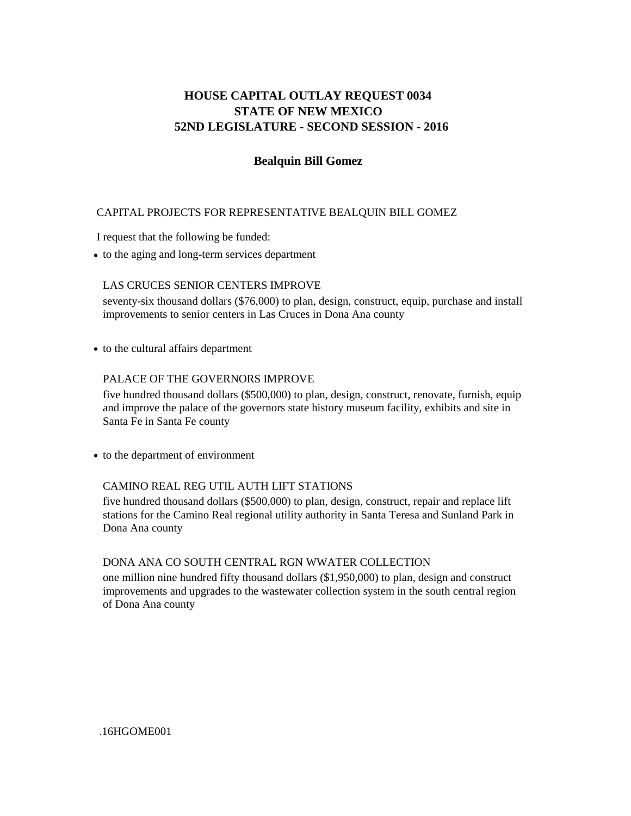# **STATE OF NEW MEXICO 52ND LEGISLATURE - SECOND SESSION - 2016 HOUSE CAPITAL OUTLAY REQUEST 0034**

## **Bealquin Bill Gomez**

## CAPITAL PROJECTS FOR REPRESENTATIVE BEALQUIN BILL GOMEZ

I request that the following be funded:

**•** to the aging and long-term services department

## LAS CRUCES SENIOR CENTERS IMPROVE

seventy-six thousand dollars (\$76,000) to plan, design, construct, equip, purchase and install improvements to senior centers in Las Cruces in Dona Ana county

**•** to the cultural affairs department

#### PALACE OF THE GOVERNORS IMPROVE

five hundred thousand dollars (\$500,000) to plan, design, construct, renovate, furnish, equip and improve the palace of the governors state history museum facility, exhibits and site in Santa Fe in Santa Fe county

**•** to the department of environment

## CAMINO REAL REG UTIL AUTH LIFT STATIONS

five hundred thousand dollars (\$500,000) to plan, design, construct, repair and replace lift stations for the Camino Real regional utility authority in Santa Teresa and Sunland Park in Dona Ana county

## DONA ANA CO SOUTH CENTRAL RGN WWATER COLLECTION

one million nine hundred fifty thousand dollars (\$1,950,000) to plan, design and construct improvements and upgrades to the wastewater collection system in the south central region of Dona Ana county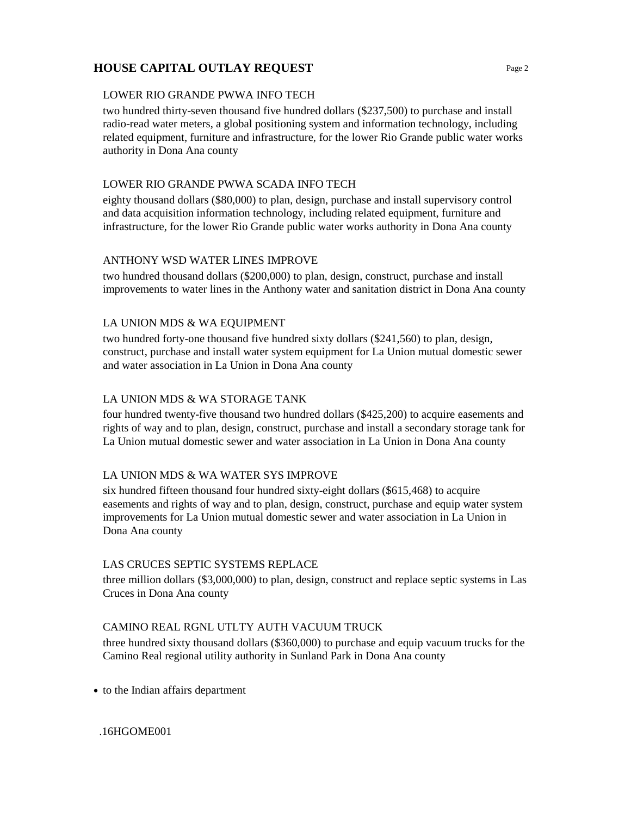# **HOUSE CAPITAL OUTLAY REQUEST** Page 2

## LOWER RIO GRANDE PWWA INFO TECH

two hundred thirty-seven thousand five hundred dollars (\$237,500) to purchase and install radio-read water meters, a global positioning system and information technology, including related equipment, furniture and infrastructure, for the lower Rio Grande public water works authority in Dona Ana county

## LOWER RIO GRANDE PWWA SCADA INFO TECH

eighty thousand dollars (\$80,000) to plan, design, purchase and install supervisory control and data acquisition information technology, including related equipment, furniture and infrastructure, for the lower Rio Grande public water works authority in Dona Ana county

## ANTHONY WSD WATER LINES IMPROVE

two hundred thousand dollars (\$200,000) to plan, design, construct, purchase and install improvements to water lines in the Anthony water and sanitation district in Dona Ana county

## LA UNION MDS & WA EQUIPMENT

two hundred forty-one thousand five hundred sixty dollars (\$241,560) to plan, design, construct, purchase and install water system equipment for La Union mutual domestic sewer and water association in La Union in Dona Ana county

## LA UNION MDS & WA STORAGE TANK

four hundred twenty-five thousand two hundred dollars (\$425,200) to acquire easements and rights of way and to plan, design, construct, purchase and install a secondary storage tank for La Union mutual domestic sewer and water association in La Union in Dona Ana county

## LA UNION MDS & WA WATER SYS IMPROVE

six hundred fifteen thousand four hundred sixty-eight dollars (\$615,468) to acquire easements and rights of way and to plan, design, construct, purchase and equip water system improvements for La Union mutual domestic sewer and water association in La Union in Dona Ana county

## LAS CRUCES SEPTIC SYSTEMS REPLACE

three million dollars (\$3,000,000) to plan, design, construct and replace septic systems in Las Cruces in Dona Ana county

## CAMINO REAL RGNL UTLTY AUTH VACUUM TRUCK

three hundred sixty thousand dollars (\$360,000) to purchase and equip vacuum trucks for the Camino Real regional utility authority in Sunland Park in Dona Ana county

**•** to the Indian affairs department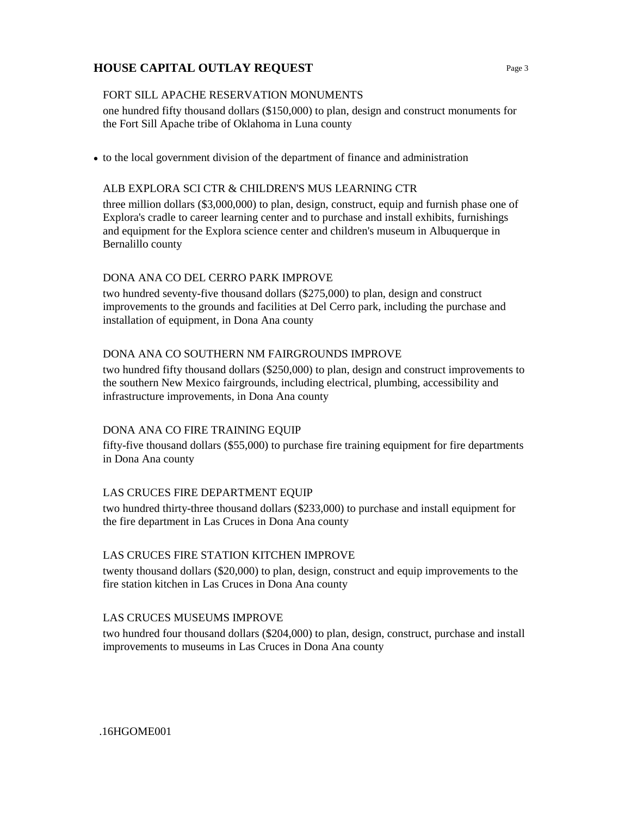# **HOUSE CAPITAL OUTLAY REQUEST**

## FORT SILL APACHE RESERVATION MONUMENTS

one hundred fifty thousand dollars (\$150,000) to plan, design and construct monuments for the Fort Sill Apache tribe of Oklahoma in Luna county

**•** to the local government division of the department of finance and administration

## ALB EXPLORA SCI CTR & CHILDREN'S MUS LEARNING CTR

three million dollars (\$3,000,000) to plan, design, construct, equip and furnish phase one of Explora's cradle to career learning center and to purchase and install exhibits, furnishings and equipment for the Explora science center and children's museum in Albuquerque in Bernalillo county

## DONA ANA CO DEL CERRO PARK IMPROVE

two hundred seventy-five thousand dollars (\$275,000) to plan, design and construct improvements to the grounds and facilities at Del Cerro park, including the purchase and installation of equipment, in Dona Ana county

## DONA ANA CO SOUTHERN NM FAIRGROUNDS IMPROVE

two hundred fifty thousand dollars (\$250,000) to plan, design and construct improvements to the southern New Mexico fairgrounds, including electrical, plumbing, accessibility and infrastructure improvements, in Dona Ana county

## DONA ANA CO FIRE TRAINING EQUIP

fifty-five thousand dollars (\$55,000) to purchase fire training equipment for fire departments in Dona Ana county

## LAS CRUCES FIRE DEPARTMENT EQUIP

two hundred thirty-three thousand dollars (\$233,000) to purchase and install equipment for the fire department in Las Cruces in Dona Ana county

## LAS CRUCES FIRE STATION KITCHEN IMPROVE

twenty thousand dollars (\$20,000) to plan, design, construct and equip improvements to the fire station kitchen in Las Cruces in Dona Ana county

## LAS CRUCES MUSEUMS IMPROVE

two hundred four thousand dollars (\$204,000) to plan, design, construct, purchase and install improvements to museums in Las Cruces in Dona Ana county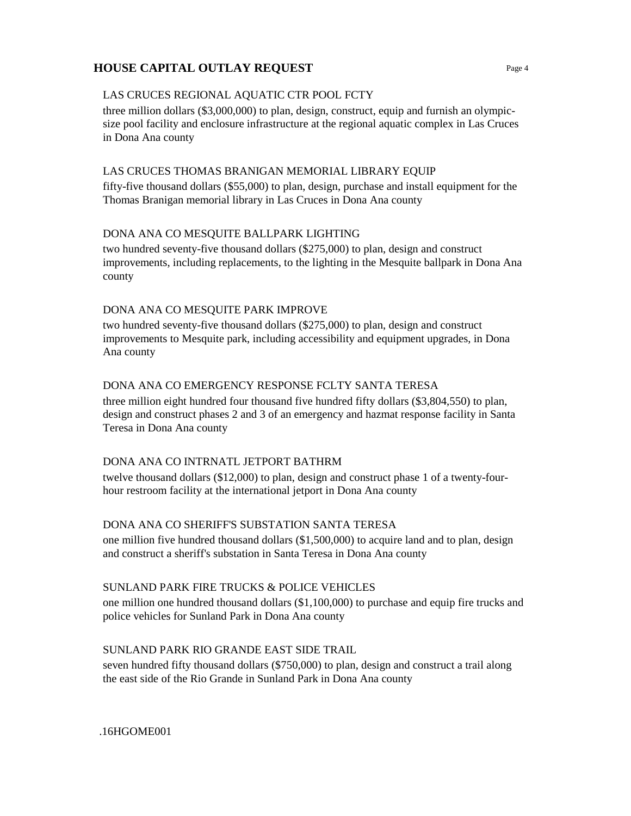# **HOUSE CAPITAL OUTLAY REQUEST**

## LAS CRUCES REGIONAL AQUATIC CTR POOL FCTY

three million dollars (\$3,000,000) to plan, design, construct, equip and furnish an olympicsize pool facility and enclosure infrastructure at the regional aquatic complex in Las Cruces in Dona Ana county

## LAS CRUCES THOMAS BRANIGAN MEMORIAL LIBRARY EQUIP

fifty-five thousand dollars (\$55,000) to plan, design, purchase and install equipment for the Thomas Branigan memorial library in Las Cruces in Dona Ana county

## DONA ANA CO MESQUITE BALLPARK LIGHTING

two hundred seventy-five thousand dollars (\$275,000) to plan, design and construct improvements, including replacements, to the lighting in the Mesquite ballpark in Dona Ana county

#### DONA ANA CO MESQUITE PARK IMPROVE

two hundred seventy-five thousand dollars (\$275,000) to plan, design and construct improvements to Mesquite park, including accessibility and equipment upgrades, in Dona Ana county

## DONA ANA CO EMERGENCY RESPONSE FCLTY SANTA TERESA

three million eight hundred four thousand five hundred fifty dollars (\$3,804,550) to plan, design and construct phases 2 and 3 of an emergency and hazmat response facility in Santa Teresa in Dona Ana county

## DONA ANA CO INTRNATL JETPORT BATHRM

twelve thousand dollars (\$12,000) to plan, design and construct phase 1 of a twenty-fourhour restroom facility at the international jetport in Dona Ana county

## DONA ANA CO SHERIFF'S SUBSTATION SANTA TERESA

one million five hundred thousand dollars (\$1,500,000) to acquire land and to plan, design and construct a sheriff's substation in Santa Teresa in Dona Ana county

## SUNLAND PARK FIRE TRUCKS & POLICE VEHICLES

one million one hundred thousand dollars (\$1,100,000) to purchase and equip fire trucks and police vehicles for Sunland Park in Dona Ana county

## SUNLAND PARK RIO GRANDE EAST SIDE TRAIL

seven hundred fifty thousand dollars (\$750,000) to plan, design and construct a trail along the east side of the Rio Grande in Sunland Park in Dona Ana county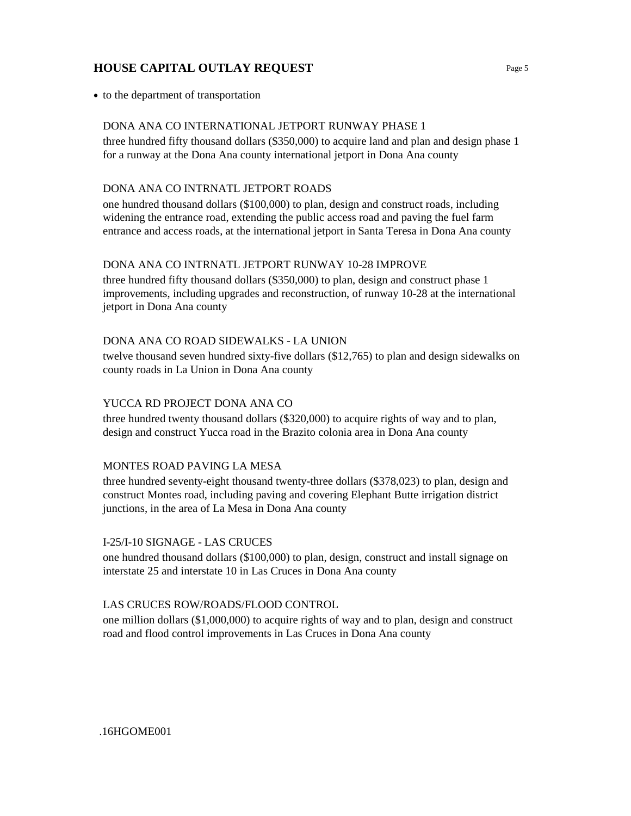# **HOUSE CAPITAL OUTLAY REQUEST**

**•** to the department of transportation

#### DONA ANA CO INTERNATIONAL JETPORT RUNWAY PHASE 1

three hundred fifty thousand dollars (\$350,000) to acquire land and plan and design phase 1 for a runway at the Dona Ana county international jetport in Dona Ana county

## DONA ANA CO INTRNATL JETPORT ROADS

one hundred thousand dollars (\$100,000) to plan, design and construct roads, including widening the entrance road, extending the public access road and paving the fuel farm entrance and access roads, at the international jetport in Santa Teresa in Dona Ana county

#### DONA ANA CO INTRNATL JETPORT RUNWAY 10-28 IMPROVE

three hundred fifty thousand dollars (\$350,000) to plan, design and construct phase 1 improvements, including upgrades and reconstruction, of runway 10-28 at the international jetport in Dona Ana county

#### DONA ANA CO ROAD SIDEWALKS - LA UNION

twelve thousand seven hundred sixty-five dollars (\$12,765) to plan and design sidewalks on county roads in La Union in Dona Ana county

## YUCCA RD PROJECT DONA ANA CO

three hundred twenty thousand dollars (\$320,000) to acquire rights of way and to plan, design and construct Yucca road in the Brazito colonia area in Dona Ana county

## MONTES ROAD PAVING LA MESA

three hundred seventy-eight thousand twenty-three dollars (\$378,023) to plan, design and construct Montes road, including paving and covering Elephant Butte irrigation district junctions, in the area of La Mesa in Dona Ana county

#### I-25/I-10 SIGNAGE - LAS CRUCES

one hundred thousand dollars (\$100,000) to plan, design, construct and install signage on interstate 25 and interstate 10 in Las Cruces in Dona Ana county

## LAS CRUCES ROW/ROADS/FLOOD CONTROL

one million dollars (\$1,000,000) to acquire rights of way and to plan, design and construct road and flood control improvements in Las Cruces in Dona Ana county